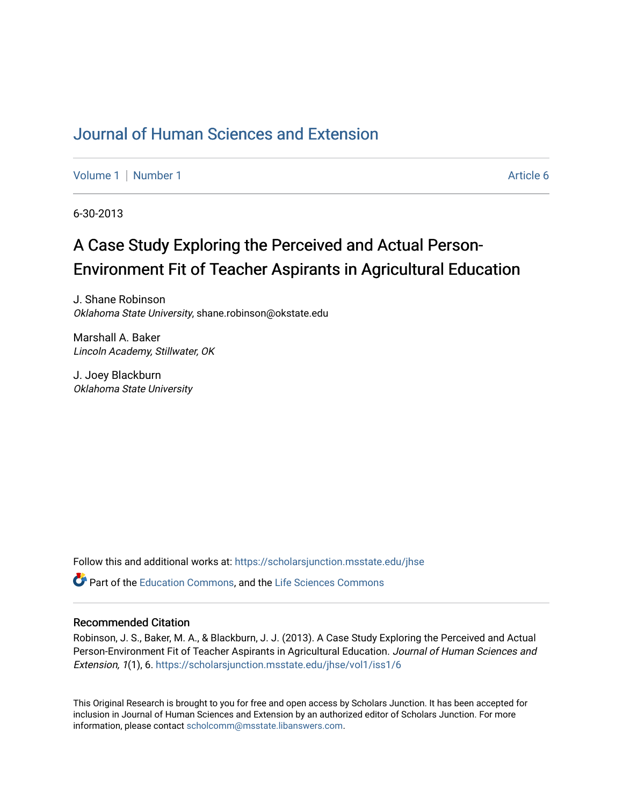## [Journal of Human Sciences and Extension](https://scholarsjunction.msstate.edu/jhse)

[Volume 1](https://scholarsjunction.msstate.edu/jhse/vol1) | [Number 1](https://scholarsjunction.msstate.edu/jhse/vol1/iss1) Article 6

6-30-2013

## A Case Study Exploring the Perceived and Actual Person-Environment Fit of Teacher Aspirants in Agricultural Education

J. Shane Robinson Oklahoma State University, shane.robinson@okstate.edu

Marshall A. Baker Lincoln Academy, Stillwater, OK

J. Joey Blackburn Oklahoma State University

Follow this and additional works at: [https://scholarsjunction.msstate.edu/jhse](https://scholarsjunction.msstate.edu/jhse?utm_source=scholarsjunction.msstate.edu%2Fjhse%2Fvol1%2Fiss1%2F6&utm_medium=PDF&utm_campaign=PDFCoverPages)

**P** Part of the [Education Commons](http://network.bepress.com/hgg/discipline/784?utm_source=scholarsjunction.msstate.edu%2Fjhse%2Fvol1%2Fiss1%2F6&utm_medium=PDF&utm_campaign=PDFCoverPages), and the Life Sciences Commons

#### Recommended Citation

Robinson, J. S., Baker, M. A., & Blackburn, J. J. (2013). A Case Study Exploring the Perceived and Actual Person-Environment Fit of Teacher Aspirants in Agricultural Education. Journal of Human Sciences and Extension, 1(1), 6. [https://scholarsjunction.msstate.edu/jhse/vol1/iss1/6](https://scholarsjunction.msstate.edu/jhse/vol1/iss1/6?utm_source=scholarsjunction.msstate.edu%2Fjhse%2Fvol1%2Fiss1%2F6&utm_medium=PDF&utm_campaign=PDFCoverPages) 

This Original Research is brought to you for free and open access by Scholars Junction. It has been accepted for inclusion in Journal of Human Sciences and Extension by an authorized editor of Scholars Junction. For more information, please contact [scholcomm@msstate.libanswers.com](mailto:scholcomm@msstate.libanswers.com).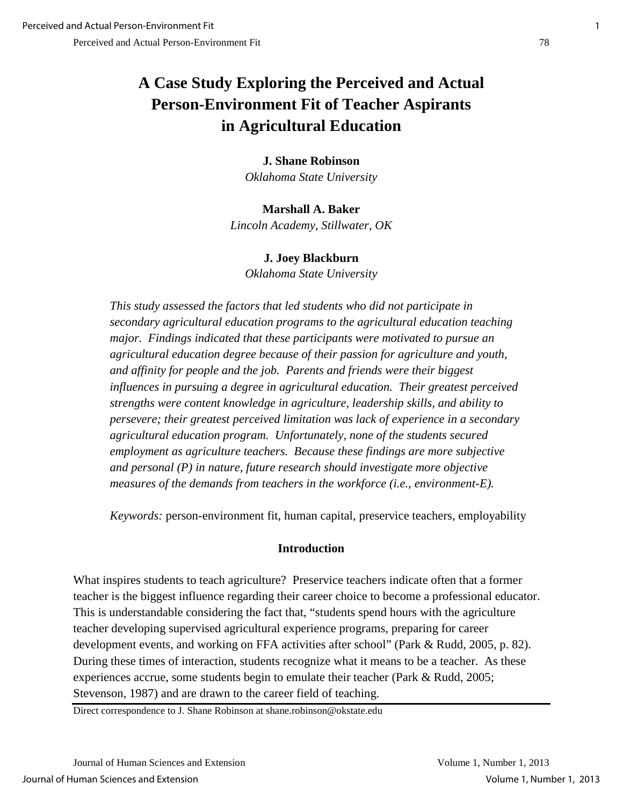## **A Case Study Exploring the Perceived and Actual Person-Environment Fit of Teacher Aspirants in Agricultural Education**

#### **J. Shane Robinson**

*Oklahoma State University* 

# **Marshall A. Baker**

*Lincoln Academy, Stillwater, OK* 

## **J. Joey Blackburn**

*Oklahoma State University*

*This study assessed the factors that led students who did not participate in secondary agricultural education programs to the agricultural education teaching major. Findings indicated that these participants were motivated to pursue an agricultural education degree because of their passion for agriculture and youth, and affinity for people and the job. Parents and friends were their biggest influences in pursuing a degree in agricultural education. Their greatest perceived strengths were content knowledge in agriculture, leadership skills, and ability to persevere; their greatest perceived limitation was lack of experience in a secondary agricultural education program. Unfortunately, none of the students secured employment as agriculture teachers. Because these findings are more subjective and personal (P) in nature, future research should investigate more objective measures of the demands from teachers in the workforce (i.e., environment-E).* 

*Keywords:* person-environment fit, human capital, preservice teachers, employability

## **Introduction**

What inspires students to teach agriculture? Preservice teachers indicate often that a former teacher is the biggest influence regarding their career choice to become a professional educator. This is understandable considering the fact that, "students spend hours with the agriculture teacher developing supervised agricultural experience programs, preparing for career development events, and working on FFA activities after school" (Park & Rudd, 2005, p. 82). During these times of interaction, students recognize what it means to be a teacher. As these experiences accrue, some students begin to emulate their teacher (Park & Rudd, 2005; Stevenson, 1987) and are drawn to the career field of teaching.

Direct correspondence to J. Shane Robinson at shane.robinson@okstate.edu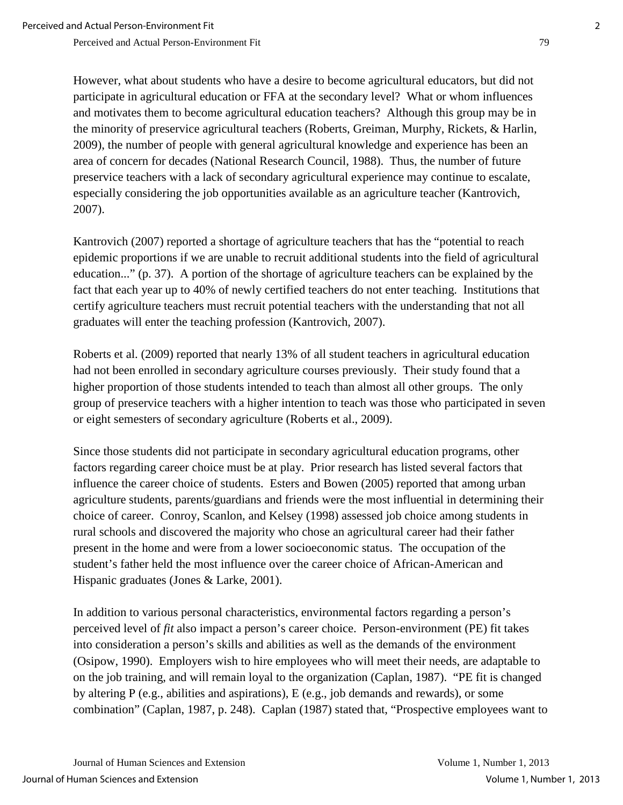However, what about students who have a desire to become agricultural educators, but did not participate in agricultural education or FFA at the secondary level? What or whom influences and motivates them to become agricultural education teachers? Although this group may be in the minority of preservice agricultural teachers (Roberts, Greiman, Murphy, Rickets, & Harlin, 2009), the number of people with general agricultural knowledge and experience has been an area of concern for decades (National Research Council, 1988). Thus, the number of future preservice teachers with a lack of secondary agricultural experience may continue to escalate, especially considering the job opportunities available as an agriculture teacher (Kantrovich, 2007).

Kantrovich (2007) reported a shortage of agriculture teachers that has the "potential to reach epidemic proportions if we are unable to recruit additional students into the field of agricultural education..." (p. 37). A portion of the shortage of agriculture teachers can be explained by the fact that each year up to 40% of newly certified teachers do not enter teaching. Institutions that certify agriculture teachers must recruit potential teachers with the understanding that not all graduates will enter the teaching profession (Kantrovich, 2007).

Roberts et al. (2009) reported that nearly 13% of all student teachers in agricultural education had not been enrolled in secondary agriculture courses previously. Their study found that a higher proportion of those students intended to teach than almost all other groups. The only group of preservice teachers with a higher intention to teach was those who participated in seven or eight semesters of secondary agriculture (Roberts et al., 2009).

Since those students did not participate in secondary agricultural education programs, other factors regarding career choice must be at play. Prior research has listed several factors that influence the career choice of students. Esters and Bowen (2005) reported that among urban agriculture students, parents/guardians and friends were the most influential in determining their choice of career. Conroy, Scanlon, and Kelsey (1998) assessed job choice among students in rural schools and discovered the majority who chose an agricultural career had their father present in the home and were from a lower socioeconomic status. The occupation of the student's father held the most influence over the career choice of African-American and Hispanic graduates (Jones & Larke, 2001).

In addition to various personal characteristics, environmental factors regarding a person's perceived level of *fit* also impact a person's career choice. Person-environment (PE) fit takes into consideration a person's skills and abilities as well as the demands of the environment (Osipow, 1990). Employers wish to hire employees who will meet their needs, are adaptable to on the job training, and will remain loyal to the organization (Caplan, 1987). "PE fit is changed by altering P (e.g., abilities and aspirations), E (e.g., job demands and rewards), or some combination" (Caplan, 1987, p. 248). Caplan (1987) stated that, "Prospective employees want to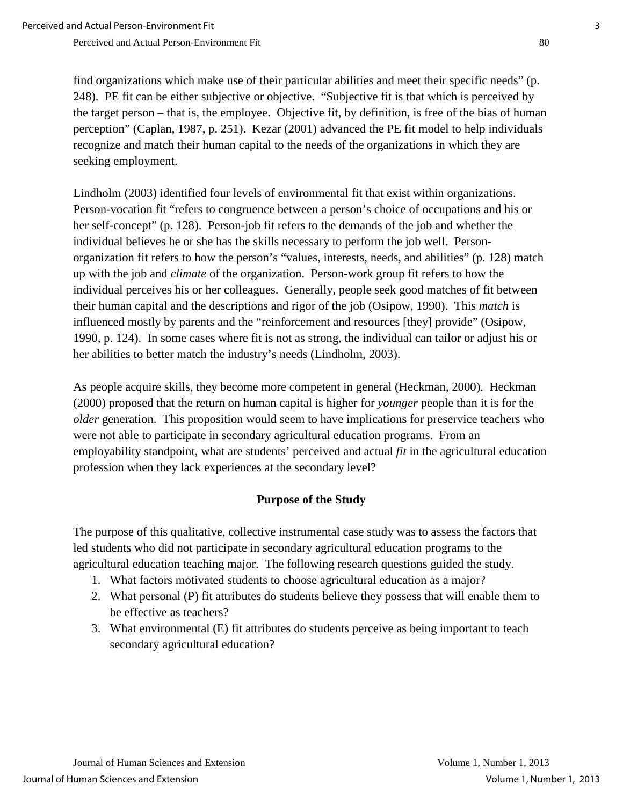find organizations which make use of their particular abilities and meet their specific needs" (p. 248). PE fit can be either subjective or objective. "Subjective fit is that which is perceived by the target person – that is, the employee. Objective fit, by definition, is free of the bias of human perception" (Caplan, 1987, p. 251). Kezar (2001) advanced the PE fit model to help individuals recognize and match their human capital to the needs of the organizations in which they are seeking employment.

Lindholm (2003) identified four levels of environmental fit that exist within organizations. Person-vocation fit "refers to congruence between a person's choice of occupations and his or her self-concept" (p. 128). Person-job fit refers to the demands of the job and whether the individual believes he or she has the skills necessary to perform the job well. Personorganization fit refers to how the person's "values, interests, needs, and abilities" (p. 128) match up with the job and *climate* of the organization. Person-work group fit refers to how the individual perceives his or her colleagues. Generally, people seek good matches of fit between their human capital and the descriptions and rigor of the job (Osipow, 1990). This *match* is influenced mostly by parents and the "reinforcement and resources [they] provide" (Osipow, 1990, p. 124). In some cases where fit is not as strong, the individual can tailor or adjust his or her abilities to better match the industry's needs (Lindholm, 2003).

As people acquire skills, they become more competent in general (Heckman, 2000). Heckman (2000) proposed that the return on human capital is higher for *younger* people than it is for the *older* generation. This proposition would seem to have implications for preservice teachers who were not able to participate in secondary agricultural education programs. From an employability standpoint, what are students' perceived and actual *fit* in the agricultural education profession when they lack experiences at the secondary level?

## **Purpose of the Study**

The purpose of this qualitative, collective instrumental case study was to assess the factors that led students who did not participate in secondary agricultural education programs to the agricultural education teaching major. The following research questions guided the study.

- 1. What factors motivated students to choose agricultural education as a major?
- 2. What personal (P) fit attributes do students believe they possess that will enable them to be effective as teachers?
- 3. What environmental (E) fit attributes do students perceive as being important to teach secondary agricultural education?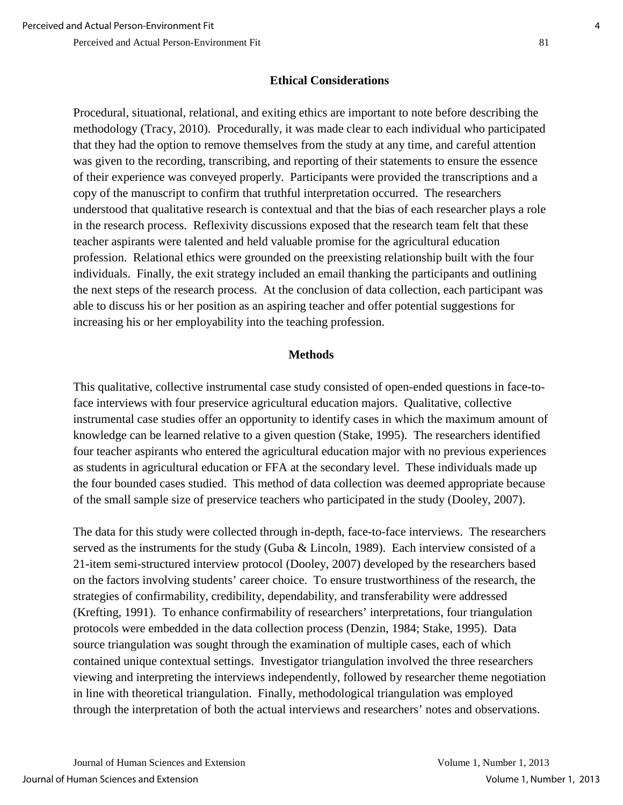## **Ethical Considerations**

Procedural, situational, relational, and exiting ethics are important to note before describing the methodology (Tracy, 2010). Procedurally, it was made clear to each individual who participated that they had the option to remove themselves from the study at any time, and careful attention was given to the recording, transcribing, and reporting of their statements to ensure the essence of their experience was conveyed properly. Participants were provided the transcriptions and a copy of the manuscript to confirm that truthful interpretation occurred. The researchers understood that qualitative research is contextual and that the bias of each researcher plays a role in the research process. Reflexivity discussions exposed that the research team felt that these teacher aspirants were talented and held valuable promise for the agricultural education profession. Relational ethics were grounded on the preexisting relationship built with the four individuals. Finally, the exit strategy included an email thanking the participants and outlining the next steps of the research process. At the conclusion of data collection, each participant was able to discuss his or her position as an aspiring teacher and offer potential suggestions for increasing his or her employability into the teaching profession.

### **Methods**

This qualitative, collective instrumental case study consisted of open-ended questions in face-toface interviews with four preservice agricultural education majors. Qualitative, collective instrumental case studies offer an opportunity to identify cases in which the maximum amount of knowledge can be learned relative to a given question (Stake, 1995). The researchers identified four teacher aspirants who entered the agricultural education major with no previous experiences as students in agricultural education or FFA at the secondary level. These individuals made up the four bounded cases studied. This method of data collection was deemed appropriate because of the small sample size of preservice teachers who participated in the study (Dooley, 2007).

The data for this study were collected through in-depth, face-to-face interviews. The researchers served as the instruments for the study (Guba & Lincoln, 1989). Each interview consisted of a 21-item semi-structured interview protocol (Dooley, 2007) developed by the researchers based on the factors involving students' career choice. To ensure trustworthiness of the research, the strategies of confirmability, credibility, dependability, and transferability were addressed (Krefting, 1991). To enhance confirmability of researchers' interpretations, four triangulation protocols were embedded in the data collection process (Denzin, 1984; Stake, 1995). Data source triangulation was sought through the examination of multiple cases, each of which contained unique contextual settings. Investigator triangulation involved the three researchers viewing and interpreting the interviews independently, followed by researcher theme negotiation in line with theoretical triangulation. Finally, methodological triangulation was employed through the interpretation of both the actual interviews and researchers' notes and observations.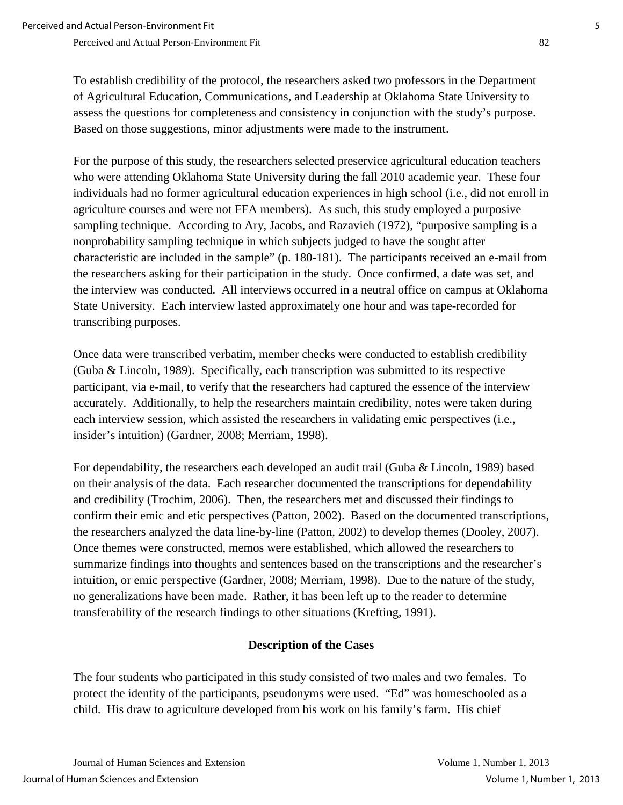To establish credibility of the protocol, the researchers asked two professors in the Department of Agricultural Education, Communications, and Leadership at Oklahoma State University to assess the questions for completeness and consistency in conjunction with the study's purpose. Based on those suggestions, minor adjustments were made to the instrument.

For the purpose of this study, the researchers selected preservice agricultural education teachers who were attending Oklahoma State University during the fall 2010 academic year. These four individuals had no former agricultural education experiences in high school (i.e., did not enroll in agriculture courses and were not FFA members). As such, this study employed a purposive sampling technique. According to Ary, Jacobs, and Razavieh (1972), "purposive sampling is a nonprobability sampling technique in which subjects judged to have the sought after characteristic are included in the sample" (p. 180-181). The participants received an e-mail from the researchers asking for their participation in the study. Once confirmed, a date was set, and the interview was conducted. All interviews occurred in a neutral office on campus at Oklahoma State University. Each interview lasted approximately one hour and was tape-recorded for transcribing purposes.

Once data were transcribed verbatim, member checks were conducted to establish credibility (Guba & Lincoln, 1989). Specifically, each transcription was submitted to its respective participant, via e-mail, to verify that the researchers had captured the essence of the interview accurately. Additionally, to help the researchers maintain credibility, notes were taken during each interview session, which assisted the researchers in validating emic perspectives (i.e., insider's intuition) (Gardner, 2008; Merriam, 1998).

For dependability, the researchers each developed an audit trail (Guba & Lincoln, 1989) based on their analysis of the data. Each researcher documented the transcriptions for dependability and credibility (Trochim, 2006). Then, the researchers met and discussed their findings to confirm their emic and etic perspectives (Patton, 2002). Based on the documented transcriptions, the researchers analyzed the data line-by-line (Patton, 2002) to develop themes (Dooley, 2007). Once themes were constructed, memos were established, which allowed the researchers to summarize findings into thoughts and sentences based on the transcriptions and the researcher's intuition, or emic perspective (Gardner, 2008; Merriam, 1998). Due to the nature of the study, no generalizations have been made. Rather, it has been left up to the reader to determine transferability of the research findings to other situations (Krefting, 1991).

### **Description of the Cases**

The four students who participated in this study consisted of two males and two females. To protect the identity of the participants, pseudonyms were used. "Ed" was homeschooled as a child. His draw to agriculture developed from his work on his family's farm. His chief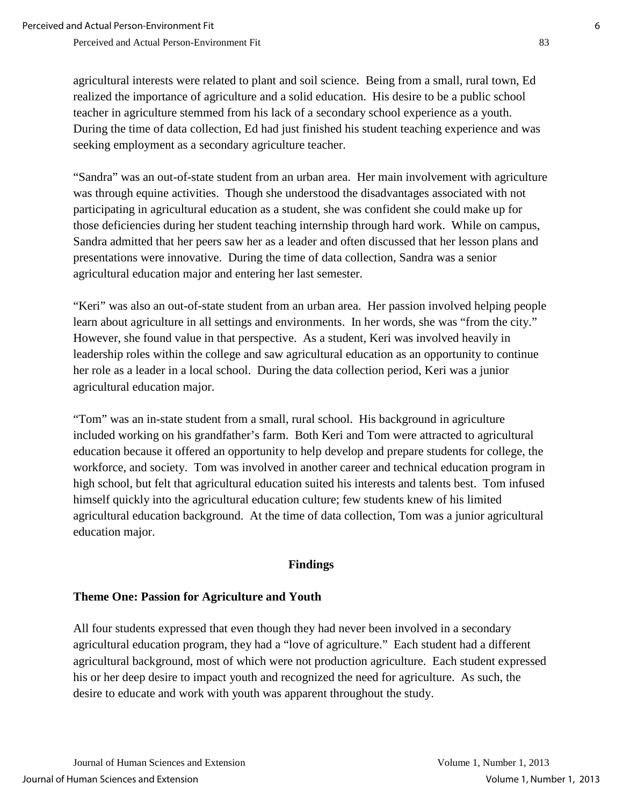agricultural interests were related to plant and soil science. Being from a small, rural town, Ed realized the importance of agriculture and a solid education. His desire to be a public school teacher in agriculture stemmed from his lack of a secondary school experience as a youth. During the time of data collection, Ed had just finished his student teaching experience and was seeking employment as a secondary agriculture teacher.

"Sandra" was an out-of-state student from an urban area. Her main involvement with agriculture was through equine activities. Though she understood the disadvantages associated with not participating in agricultural education as a student, she was confident she could make up for those deficiencies during her student teaching internship through hard work. While on campus, Sandra admitted that her peers saw her as a leader and often discussed that her lesson plans and presentations were innovative. During the time of data collection, Sandra was a senior agricultural education major and entering her last semester.

"Keri" was also an out-of-state student from an urban area. Her passion involved helping people learn about agriculture in all settings and environments. In her words, she was "from the city." However, she found value in that perspective. As a student, Keri was involved heavily in leadership roles within the college and saw agricultural education as an opportunity to continue her role as a leader in a local school. During the data collection period, Keri was a junior agricultural education major.

"Tom" was an in-state student from a small, rural school. His background in agriculture included working on his grandfather's farm. Both Keri and Tom were attracted to agricultural education because it offered an opportunity to help develop and prepare students for college, the workforce, and society. Tom was involved in another career and technical education program in high school, but felt that agricultural education suited his interests and talents best. Tom infused himself quickly into the agricultural education culture; few students knew of his limited agricultural education background. At the time of data collection, Tom was a junior agricultural education major.

#### **Findings**

### **Theme One: Passion for Agriculture and Youth**

All four students expressed that even though they had never been involved in a secondary agricultural education program, they had a "love of agriculture." Each student had a different agricultural background, most of which were not production agriculture. Each student expressed his or her deep desire to impact youth and recognized the need for agriculture. As such, the desire to educate and work with youth was apparent throughout the study.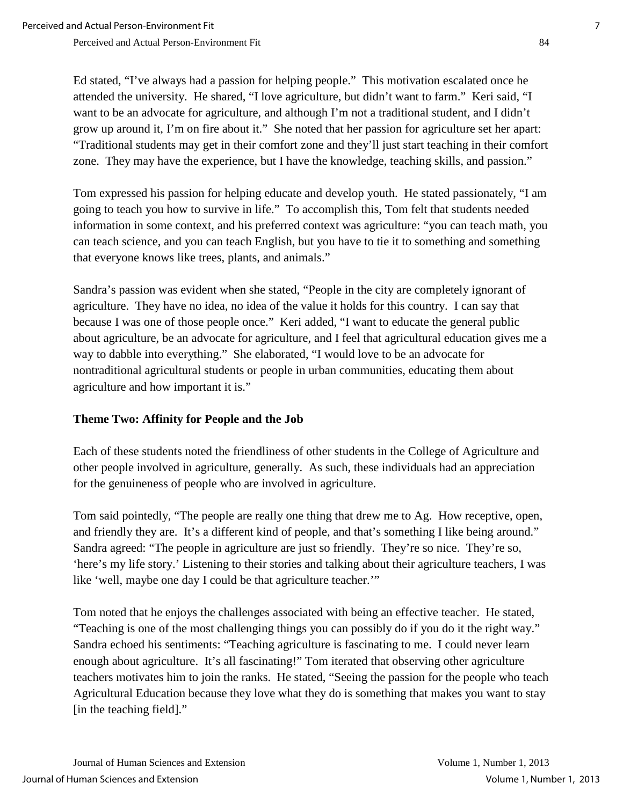Ed stated, "I've always had a passion for helping people." This motivation escalated once he attended the university. He shared, "I love agriculture, but didn't want to farm." Keri said, "I want to be an advocate for agriculture, and although I'm not a traditional student, and I didn't grow up around it, I'm on fire about it." She noted that her passion for agriculture set her apart: "Traditional students may get in their comfort zone and they'll just start teaching in their comfort zone. They may have the experience, but I have the knowledge, teaching skills, and passion."

Tom expressed his passion for helping educate and develop youth. He stated passionately, "I am going to teach you how to survive in life." To accomplish this, Tom felt that students needed information in some context, and his preferred context was agriculture: "you can teach math, you can teach science, and you can teach English, but you have to tie it to something and something that everyone knows like trees, plants, and animals."

Sandra's passion was evident when she stated, "People in the city are completely ignorant of agriculture. They have no idea, no idea of the value it holds for this country. I can say that because I was one of those people once." Keri added, "I want to educate the general public about agriculture, be an advocate for agriculture, and I feel that agricultural education gives me a way to dabble into everything." She elaborated, "I would love to be an advocate for nontraditional agricultural students or people in urban communities, educating them about agriculture and how important it is."

### **Theme Two: Affinity for People and the Job**

Each of these students noted the friendliness of other students in the College of Agriculture and other people involved in agriculture, generally. As such, these individuals had an appreciation for the genuineness of people who are involved in agriculture.

Tom said pointedly, "The people are really one thing that drew me to Ag. How receptive, open, and friendly they are. It's a different kind of people, and that's something I like being around." Sandra agreed: "The people in agriculture are just so friendly. They're so nice. They're so, 'here's my life story.' Listening to their stories and talking about their agriculture teachers, I was like 'well, maybe one day I could be that agriculture teacher.'"

Tom noted that he enjoys the challenges associated with being an effective teacher. He stated, "Teaching is one of the most challenging things you can possibly do if you do it the right way." Sandra echoed his sentiments: "Teaching agriculture is fascinating to me. I could never learn enough about agriculture. It's all fascinating!" Tom iterated that observing other agriculture teachers motivates him to join the ranks. He stated, "Seeing the passion for the people who teach Agricultural Education because they love what they do is something that makes you want to stay [in the teaching field]."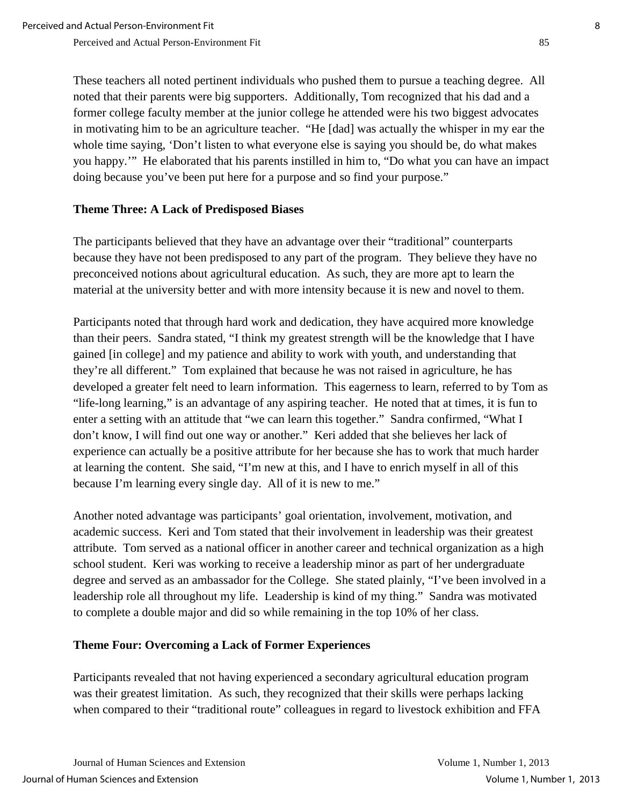These teachers all noted pertinent individuals who pushed them to pursue a teaching degree. All noted that their parents were big supporters. Additionally, Tom recognized that his dad and a former college faculty member at the junior college he attended were his two biggest advocates in motivating him to be an agriculture teacher. "He [dad] was actually the whisper in my ear the whole time saying, 'Don't listen to what everyone else is saying you should be, do what makes you happy.'" He elaborated that his parents instilled in him to, "Do what you can have an impact doing because you've been put here for a purpose and so find your purpose."

### **Theme Three: A Lack of Predisposed Biases**

The participants believed that they have an advantage over their "traditional" counterparts because they have not been predisposed to any part of the program. They believe they have no preconceived notions about agricultural education. As such, they are more apt to learn the material at the university better and with more intensity because it is new and novel to them.

Participants noted that through hard work and dedication, they have acquired more knowledge than their peers. Sandra stated, "I think my greatest strength will be the knowledge that I have gained [in college] and my patience and ability to work with youth, and understanding that they're all different." Tom explained that because he was not raised in agriculture, he has developed a greater felt need to learn information. This eagerness to learn, referred to by Tom as "life-long learning," is an advantage of any aspiring teacher. He noted that at times, it is fun to enter a setting with an attitude that "we can learn this together." Sandra confirmed, "What I don't know, I will find out one way or another." Keri added that she believes her lack of experience can actually be a positive attribute for her because she has to work that much harder at learning the content. She said, "I'm new at this, and I have to enrich myself in all of this because I'm learning every single day. All of it is new to me."

Another noted advantage was participants' goal orientation, involvement, motivation, and academic success. Keri and Tom stated that their involvement in leadership was their greatest attribute. Tom served as a national officer in another career and technical organization as a high school student. Keri was working to receive a leadership minor as part of her undergraduate degree and served as an ambassador for the College. She stated plainly, "I've been involved in a leadership role all throughout my life. Leadership is kind of my thing." Sandra was motivated to complete a double major and did so while remaining in the top 10% of her class.

#### **Theme Four: Overcoming a Lack of Former Experiences**

Participants revealed that not having experienced a secondary agricultural education program was their greatest limitation. As such, they recognized that their skills were perhaps lacking when compared to their "traditional route" colleagues in regard to livestock exhibition and FFA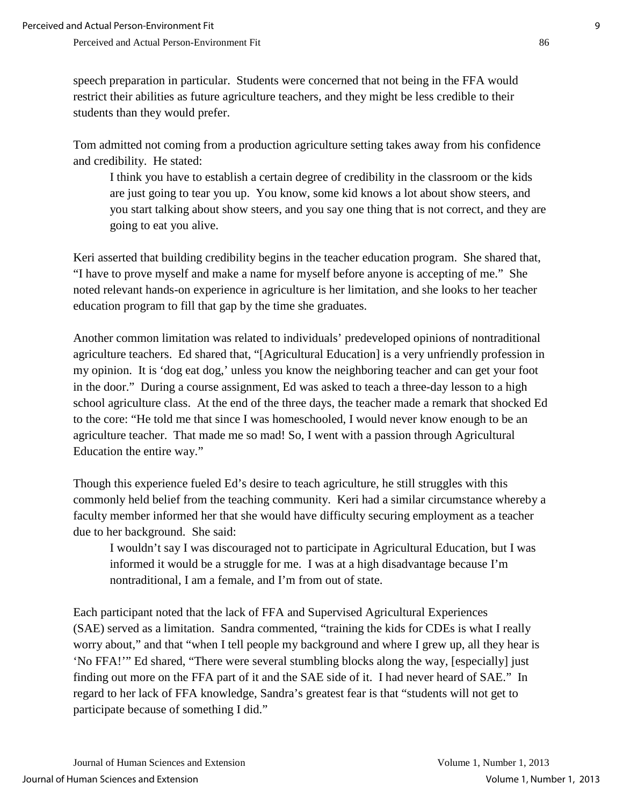speech preparation in particular. Students were concerned that not being in the FFA would restrict their abilities as future agriculture teachers, and they might be less credible to their students than they would prefer.

Tom admitted not coming from a production agriculture setting takes away from his confidence and credibility. He stated:

I think you have to establish a certain degree of credibility in the classroom or the kids are just going to tear you up. You know, some kid knows a lot about show steers, and you start talking about show steers, and you say one thing that is not correct, and they are going to eat you alive.

Keri asserted that building credibility begins in the teacher education program. She shared that, "I have to prove myself and make a name for myself before anyone is accepting of me." She noted relevant hands-on experience in agriculture is her limitation, and she looks to her teacher education program to fill that gap by the time she graduates.

Another common limitation was related to individuals' predeveloped opinions of nontraditional agriculture teachers. Ed shared that, "[Agricultural Education] is a very unfriendly profession in my opinion. It is 'dog eat dog,' unless you know the neighboring teacher and can get your foot in the door." During a course assignment, Ed was asked to teach a three-day lesson to a high school agriculture class. At the end of the three days, the teacher made a remark that shocked Ed to the core: "He told me that since I was homeschooled, I would never know enough to be an agriculture teacher. That made me so mad! So, I went with a passion through Agricultural Education the entire way."

Though this experience fueled Ed's desire to teach agriculture, he still struggles with this commonly held belief from the teaching community. Keri had a similar circumstance whereby a faculty member informed her that she would have difficulty securing employment as a teacher due to her background. She said:

I wouldn't say I was discouraged not to participate in Agricultural Education, but I was informed it would be a struggle for me. I was at a high disadvantage because I'm nontraditional, I am a female, and I'm from out of state.

Each participant noted that the lack of FFA and Supervised Agricultural Experiences (SAE) served as a limitation. Sandra commented, "training the kids for CDEs is what I really worry about," and that "when I tell people my background and where I grew up, all they hear is 'No FFA!'" Ed shared, "There were several stumbling blocks along the way, [especially] just finding out more on the FFA part of it and the SAE side of it. I had never heard of SAE." In regard to her lack of FFA knowledge, Sandra's greatest fear is that "students will not get to participate because of something I did."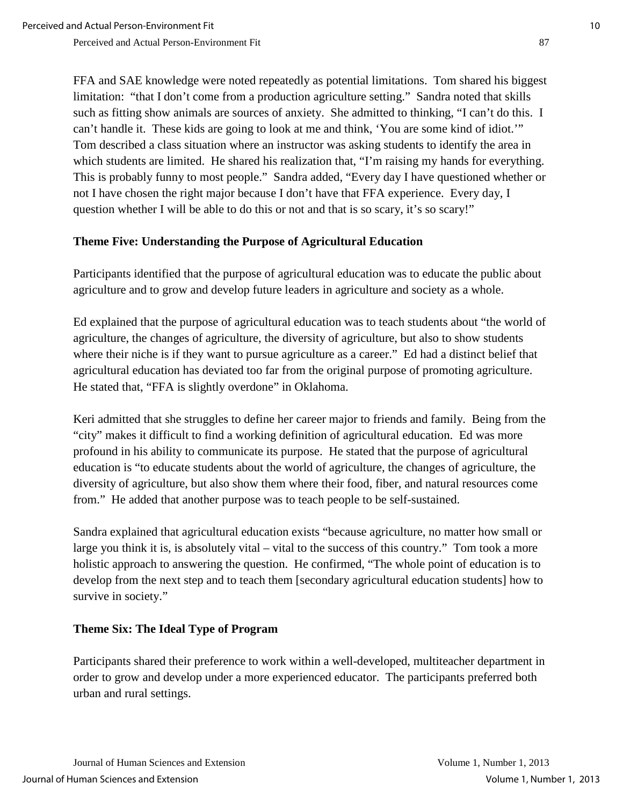FFA and SAE knowledge were noted repeatedly as potential limitations. Tom shared his biggest limitation: "that I don't come from a production agriculture setting." Sandra noted that skills such as fitting show animals are sources of anxiety. She admitted to thinking, "I can't do this. I can't handle it. These kids are going to look at me and think, 'You are some kind of idiot.'" Tom described a class situation where an instructor was asking students to identify the area in which students are limited. He shared his realization that, "I'm raising my hands for everything. This is probably funny to most people." Sandra added, "Every day I have questioned whether or not I have chosen the right major because I don't have that FFA experience. Every day, I question whether I will be able to do this or not and that is so scary, it's so scary!"

### **Theme Five: Understanding the Purpose of Agricultural Education**

Participants identified that the purpose of agricultural education was to educate the public about agriculture and to grow and develop future leaders in agriculture and society as a whole.

Ed explained that the purpose of agricultural education was to teach students about "the world of agriculture, the changes of agriculture, the diversity of agriculture, but also to show students where their niche is if they want to pursue agriculture as a career." Ed had a distinct belief that agricultural education has deviated too far from the original purpose of promoting agriculture. He stated that, "FFA is slightly overdone" in Oklahoma.

Keri admitted that she struggles to define her career major to friends and family. Being from the "city" makes it difficult to find a working definition of agricultural education. Ed was more profound in his ability to communicate its purpose. He stated that the purpose of agricultural education is "to educate students about the world of agriculture, the changes of agriculture, the diversity of agriculture, but also show them where their food, fiber, and natural resources come from." He added that another purpose was to teach people to be self-sustained.

Sandra explained that agricultural education exists "because agriculture, no matter how small or large you think it is, is absolutely vital – vital to the success of this country." Tom took a more holistic approach to answering the question. He confirmed, "The whole point of education is to develop from the next step and to teach them [secondary agricultural education students] how to survive in society."

### **Theme Six: The Ideal Type of Program**

Participants shared their preference to work within a well-developed, multiteacher department in order to grow and develop under a more experienced educator. The participants preferred both urban and rural settings.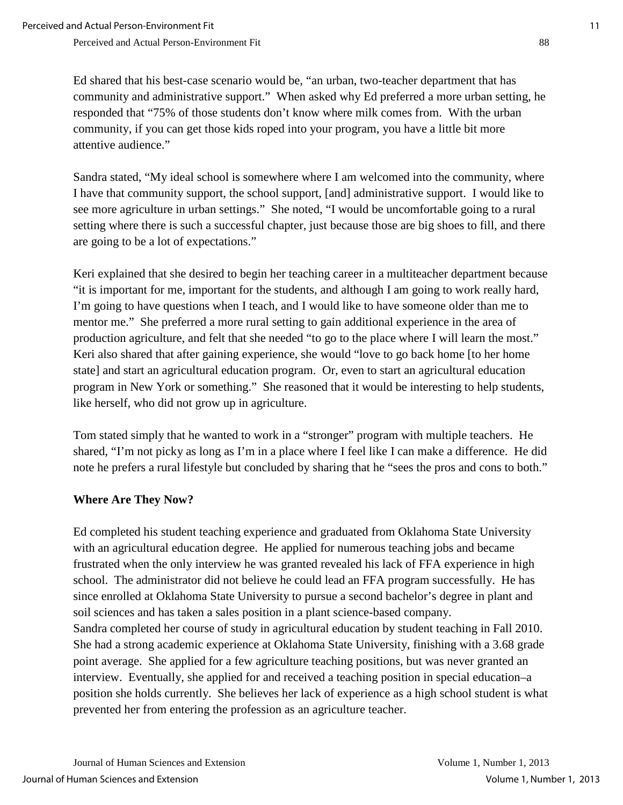Ed shared that his best-case scenario would be, "an urban, two-teacher department that has community and administrative support." When asked why Ed preferred a more urban setting, he responded that "75% of those students don't know where milk comes from. With the urban community, if you can get those kids roped into your program, you have a little bit more attentive audience."

Sandra stated, "My ideal school is somewhere where I am welcomed into the community, where I have that community support, the school support, [and] administrative support. I would like to see more agriculture in urban settings." She noted, "I would be uncomfortable going to a rural setting where there is such a successful chapter, just because those are big shoes to fill, and there are going to be a lot of expectations."

Keri explained that she desired to begin her teaching career in a multiteacher department because "it is important for me, important for the students, and although I am going to work really hard, I'm going to have questions when I teach, and I would like to have someone older than me to mentor me." She preferred a more rural setting to gain additional experience in the area of production agriculture, and felt that she needed "to go to the place where I will learn the most." Keri also shared that after gaining experience, she would "love to go back home [to her home state] and start an agricultural education program. Or, even to start an agricultural education program in New York or something." She reasoned that it would be interesting to help students, like herself, who did not grow up in agriculture.

Tom stated simply that he wanted to work in a "stronger" program with multiple teachers. He shared, "I'm not picky as long as I'm in a place where I feel like I can make a difference. He did note he prefers a rural lifestyle but concluded by sharing that he "sees the pros and cons to both."

### **Where Are They Now?**

Ed completed his student teaching experience and graduated from Oklahoma State University with an agricultural education degree. He applied for numerous teaching jobs and became frustrated when the only interview he was granted revealed his lack of FFA experience in high school. The administrator did not believe he could lead an FFA program successfully. He has since enrolled at Oklahoma State University to pursue a second bachelor's degree in plant and soil sciences and has taken a sales position in a plant science-based company. Sandra completed her course of study in agricultural education by student teaching in Fall 2010. She had a strong academic experience at Oklahoma State University, finishing with a 3.68 grade point average. She applied for a few agriculture teaching positions, but was never granted an interview. Eventually, she applied for and received a teaching position in special education–a position she holds currently. She believes her lack of experience as a high school student is what prevented her from entering the profession as an agriculture teacher.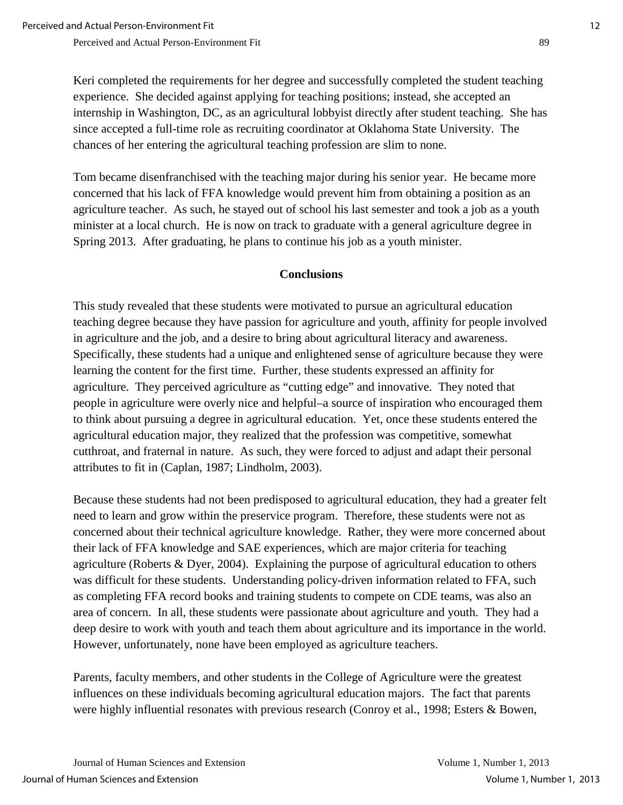Keri completed the requirements for her degree and successfully completed the student teaching experience. She decided against applying for teaching positions; instead, she accepted an internship in Washington, DC, as an agricultural lobbyist directly after student teaching. She has since accepted a full-time role as recruiting coordinator at Oklahoma State University. The chances of her entering the agricultural teaching profession are slim to none.

Tom became disenfranchised with the teaching major during his senior year. He became more concerned that his lack of FFA knowledge would prevent him from obtaining a position as an agriculture teacher. As such, he stayed out of school his last semester and took a job as a youth minister at a local church. He is now on track to graduate with a general agriculture degree in Spring 2013. After graduating, he plans to continue his job as a youth minister.

### **Conclusions**

This study revealed that these students were motivated to pursue an agricultural education teaching degree because they have passion for agriculture and youth, affinity for people involved in agriculture and the job, and a desire to bring about agricultural literacy and awareness. Specifically, these students had a unique and enlightened sense of agriculture because they were learning the content for the first time. Further, these students expressed an affinity for agriculture. They perceived agriculture as "cutting edge" and innovative. They noted that people in agriculture were overly nice and helpful–a source of inspiration who encouraged them to think about pursuing a degree in agricultural education. Yet, once these students entered the agricultural education major, they realized that the profession was competitive, somewhat cutthroat, and fraternal in nature. As such, they were forced to adjust and adapt their personal attributes to fit in (Caplan, 1987; Lindholm, 2003).

Because these students had not been predisposed to agricultural education, they had a greater felt need to learn and grow within the preservice program. Therefore, these students were not as concerned about their technical agriculture knowledge. Rather, they were more concerned about their lack of FFA knowledge and SAE experiences, which are major criteria for teaching agriculture (Roberts & Dyer, 2004). Explaining the purpose of agricultural education to others was difficult for these students. Understanding policy-driven information related to FFA, such as completing FFA record books and training students to compete on CDE teams, was also an area of concern. In all, these students were passionate about agriculture and youth. They had a deep desire to work with youth and teach them about agriculture and its importance in the world. However, unfortunately, none have been employed as agriculture teachers.

Parents, faculty members, and other students in the College of Agriculture were the greatest influences on these individuals becoming agricultural education majors. The fact that parents were highly influential resonates with previous research (Conroy et al., 1998; Esters & Bowen,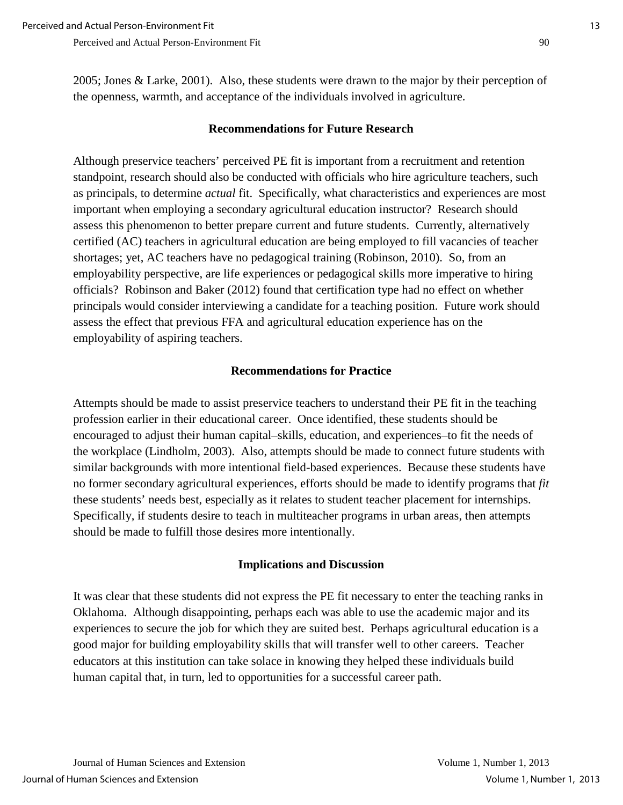#### **Recommendations for Future Research**

Although preservice teachers' perceived PE fit is important from a recruitment and retention standpoint, research should also be conducted with officials who hire agriculture teachers, such as principals, to determine *actual* fit. Specifically, what characteristics and experiences are most important when employing a secondary agricultural education instructor? Research should assess this phenomenon to better prepare current and future students. Currently, alternatively certified (AC) teachers in agricultural education are being employed to fill vacancies of teacher shortages; yet, AC teachers have no pedagogical training (Robinson, 2010). So, from an employability perspective, are life experiences or pedagogical skills more imperative to hiring officials? Robinson and Baker (2012) found that certification type had no effect on whether principals would consider interviewing a candidate for a teaching position. Future work should assess the effect that previous FFA and agricultural education experience has on the employability of aspiring teachers.

#### **Recommendations for Practice**

Attempts should be made to assist preservice teachers to understand their PE fit in the teaching profession earlier in their educational career. Once identified, these students should be encouraged to adjust their human capital–skills, education, and experiences–to fit the needs of the workplace (Lindholm, 2003). Also, attempts should be made to connect future students with similar backgrounds with more intentional field-based experiences. Because these students have no former secondary agricultural experiences, efforts should be made to identify programs that *fit* these students' needs best, especially as it relates to student teacher placement for internships. Specifically, if students desire to teach in multiteacher programs in urban areas, then attempts should be made to fulfill those desires more intentionally.

#### **Implications and Discussion**

It was clear that these students did not express the PE fit necessary to enter the teaching ranks in Oklahoma. Although disappointing, perhaps each was able to use the academic major and its experiences to secure the job for which they are suited best. Perhaps agricultural education is a good major for building employability skills that will transfer well to other careers. Teacher educators at this institution can take solace in knowing they helped these individuals build human capital that, in turn, led to opportunities for a successful career path.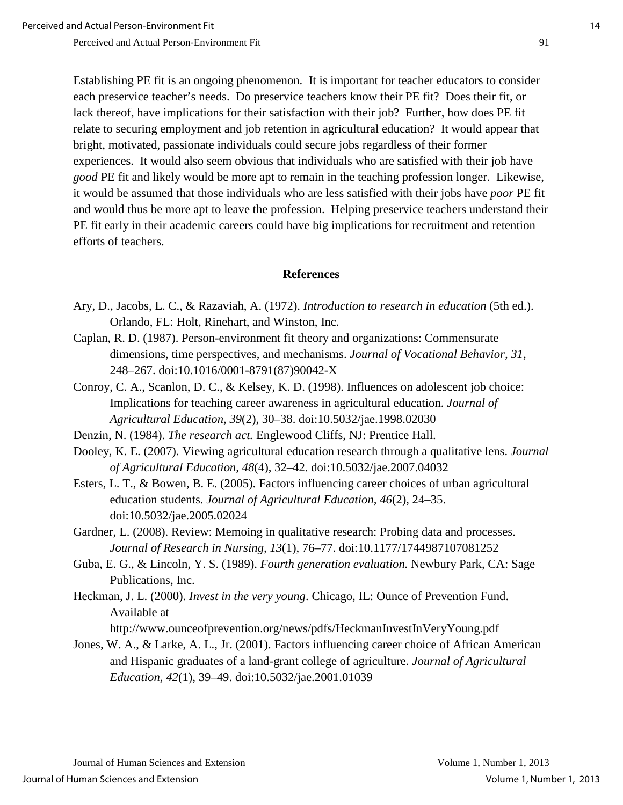Establishing PE fit is an ongoing phenomenon. It is important for teacher educators to consider each preservice teacher's needs. Do preservice teachers know their PE fit? Does their fit, or lack thereof, have implications for their satisfaction with their job? Further, how does PE fit relate to securing employment and job retention in agricultural education? It would appear that bright, motivated, passionate individuals could secure jobs regardless of their former experiences. It would also seem obvious that individuals who are satisfied with their job have *good* PE fit and likely would be more apt to remain in the teaching profession longer. Likewise, it would be assumed that those individuals who are less satisfied with their jobs have *poor* PE fit and would thus be more apt to leave the profession. Helping preservice teachers understand their PE fit early in their academic careers could have big implications for recruitment and retention efforts of teachers.

#### **References**

- Ary, D., Jacobs, L. C., & Razaviah, A. (1972). *Introduction to research in education* (5th ed.). Orlando, FL: Holt, Rinehart, and Winston, Inc.
- Caplan, R. D. (1987). Person-environment fit theory and organizations: Commensurate dimensions, time perspectives, and mechanisms. *Journal of Vocational Behavior, 31*, 248–267. doi:10.1016/0001-8791(87)90042-X
- Conroy, C. A., Scanlon, D. C., & Kelsey, K. D. (1998). Influences on adolescent job choice: Implications for teaching career awareness in agricultural education. *Journal of Agricultural Education, 39*(2), 30–38. doi:10.5032/jae.1998.02030
- Denzin, N. (1984). *The research act.* Englewood Cliffs, NJ: Prentice Hall.
- Dooley, K. E. (2007). Viewing agricultural education research through a qualitative lens. *Journal of Agricultural Education, 48*(4), 32–42. doi:10.5032/jae.2007.04032
- Esters, L. T., & Bowen, B. E. (2005). Factors influencing career choices of urban agricultural education students. *Journal of Agricultural Education, 46*(2), 24–35. doi:10.5032/jae.2005.02024
- Gardner, L. (2008). Review: Memoing in qualitative research: Probing data and processes. *Journal of Research in Nursing, 13*(1), 76–77. doi:10.1177/1744987107081252
- Guba, E. G., & Lincoln, Y. S. (1989). *Fourth generation evaluation.* Newbury Park, CA: Sage Publications, Inc.
- Heckman, J. L. (2000). *Invest in the very young*. Chicago, IL: Ounce of Prevention Fund. Available at

http://www.ounceofprevention.org/news/pdfs/HeckmanInvestInVeryYoung.pdf

Jones, W. A., & Larke, A. L., Jr. (2001). Factors influencing career choice of African American and Hispanic graduates of a land-grant college of agriculture. *Journal of Agricultural Education, 42*(1), 39–49. doi:10.5032/jae.2001.01039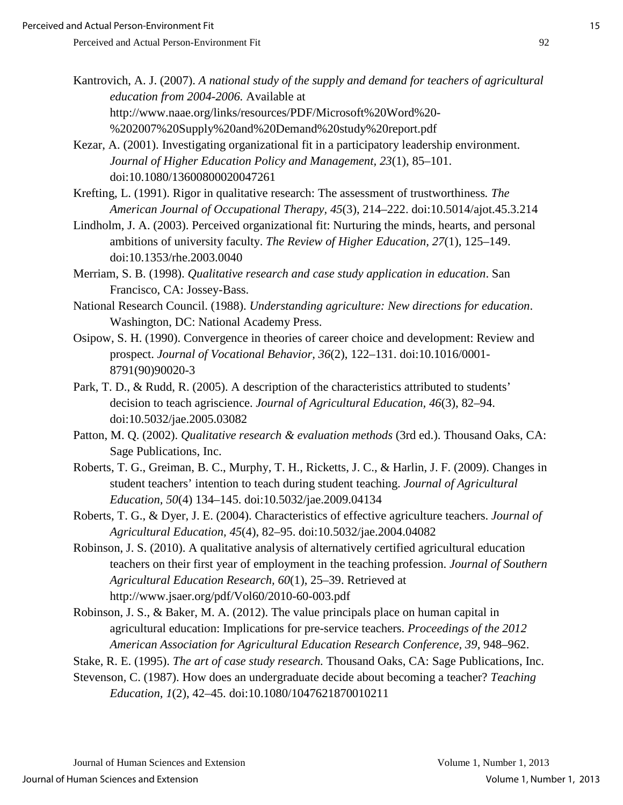- Kantrovich, A. J. (2007). *A national study of the supply and demand for teachers of agricultural education from 2004-2006.* Available at http://www.naae.org/links/resources/PDF/Microsoft%20Word%20- %202007%20Supply%20and%20Demand%20study%20report.pdf
- Kezar, A. (2001). Investigating organizational fit in a participatory leadership environment. *Journal of Higher Education Policy and Management, 23*(1), 85–101. doi:10.1080/13600800020047261
- Krefting, L. (1991). Rigor in qualitative research: The assessment of trustworthiness*. The American Journal of Occupational Therapy, 45*(3), 214–222. doi:10.5014/ajot.45.3.214
- Lindholm, J. A. (2003). Perceived organizational fit: Nurturing the minds, hearts, and personal ambitions of university faculty. *The Review of Higher Education, 27*(1), 125–149. doi:10.1353/rhe.2003.0040
- Merriam, S. B. (1998). *Qualitative research and case study application in education*. San Francisco, CA: Jossey-Bass.
- National Research Council. (1988). *Understanding agriculture: New directions for education*. Washington, DC: National Academy Press.
- Osipow, S. H. (1990). Convergence in theories of career choice and development: Review and prospect. *Journal of Vocational Behavior, 36*(2), 122–131. doi:10.1016/0001- 8791(90)90020-3
- Park, T. D., & Rudd, R. (2005). A description of the characteristics attributed to students' decision to teach agriscience. *Journal of Agricultural Education, 46*(3), 82–94. doi:10.5032/jae.2005.03082
- Patton, M. Q. (2002). *Qualitative research & evaluation methods* (3rd ed.). Thousand Oaks, CA: Sage Publications, Inc.
- Roberts, T. G., Greiman, B. C., Murphy, T. H., Ricketts, J. C., & Harlin, J. F. (2009). Changes in student teachers' intention to teach during student teaching. *Journal of Agricultural Education, 50*(4) 134–145. doi:10.5032/jae.2009.04134
- Roberts, T. G., & Dyer, J. E. (2004). Characteristics of effective agriculture teachers. *Journal of Agricultural Education, 45*(4), 82–95. doi:10.5032/jae.2004.04082
- Robinson, J. S. (2010). A qualitative analysis of alternatively certified agricultural education teachers on their first year of employment in the teaching profession. *Journal of Southern Agricultural Education Research, 60*(1), 25–39. Retrieved at http://www.jsaer.org/pdf/Vol60/2010-60-003.pdf
- Robinson, J. S., & Baker, M. A. (2012). The value principals place on human capital in agricultural education: Implications for pre-service teachers. *Proceedings of the 2012 American Association for Agricultural Education Research Conference, 39*, 948–962.
- Stake, R. E. (1995). *The art of case study research.* Thousand Oaks, CA: Sage Publications, Inc.
- Stevenson, C. (1987). How does an undergraduate decide about becoming a teacher? *Teaching Education, 1*(2), 42–45. doi:10.1080/1047621870010211